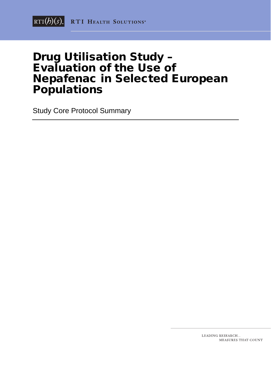# Drug Utilisation Study – Evaluation of the Use of Nepafenac in Selected European **Populations**

Study Core Protocol Summary

LEADING RESEARCH... MEASURES THAT COUNT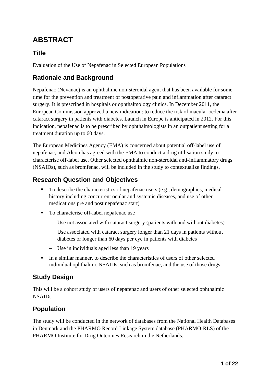# **ABSTRACT**

# **Title**

Evaluation of the Use of Nepafenac in Selected European Populations

# **Rationale and Background**

Nepafenac (Nevanac) is an ophthalmic non-steroidal agent that has been available for some time for the prevention and treatment of postoperative pain and inflammation after cataract surgery. It is prescribed in hospitals or ophthalmology clinics. In December 2011, the European Commission approved a new indication: to reduce the risk of macular oedema after cataract surgery in patients with diabetes. Launch in Europe is anticipated in 2012. For this indication, nepafenac is to be prescribed by ophthalmologists in an outpatient setting for a treatment duration up to 60 days.

The European Medicines Agency (EMA) is concerned about potential off-label use of nepafenac, and Alcon has agreed with the EMA to conduct a drug utilisation study to characterise off-label use. Other selected ophthalmic non-steroidal anti-inflammatory drugs (NSAIDs), such as bromfenac, will be included in the study to contextualize findings.

# **Research Question and Objectives**

- To describe the characteristics of nepafenac users (e.g., demographics, medical history including concurrent ocular and systemic diseases, and use of other medications pre and post nepafenac start)
- To characterise off-label nepafenac use
	- − Use not associated with cataract surgery (patients with and without diabetes)
	- − Use associated with cataract surgery longer than 21 days in patients without diabetes or longer than 60 days per eye in patients with diabetes
	- − Use in individuals aged less than 19 years
- In a similar manner, to describe the characteristics of users of other selected individual ophthalmic NSAIDs, such as bromfenac, and the use of those drugs

# **Study Design**

This will be a cohort study of users of nepafenac and users of other selected ophthalmic NSAIDs.

# **Population**

The study will be conducted in the network of databases from the National Health Databases in Denmark and the PHARMO Record Linkage System database (PHARMO-RLS) of the PHARMO Institute for Drug Outcomes Research in the Netherlands.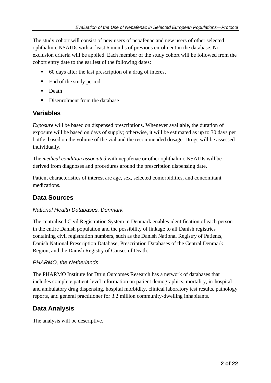The study cohort will consist of new users of nepafenac and new users of other selected ophthalmic NSAIDs with at least 6 months of previous enrolment in the database. No exclusion criteria will be applied. Each member of the study cohort will be followed from the cohort entry date to the earliest of the following dates:

- 60 days after the last prescription of a drug of interest
- $\blacksquare$  End of the study period
- **Death**
- Disenrolment from the database

### **Variables**

*Exposure* will be based on dispensed prescriptions. Whenever available, the duration of exposure will be based on days of supply; otherwise, it will be estimated as up to 30 days per bottle, based on the volume of the vial and the recommended dosage. Drugs will be assessed individually.

The *medical condition associated* with nepafenac or other ophthalmic NSAIDs will be derived from diagnoses and procedures around the prescription dispensing date.

Patient characteristics of interest are age, sex, selected comorbidities, and concomitant medications.

# **Data Sources**

#### *National Health Databases, Denmark*

The centralised Civil Registration System in Denmark enables identification of each person in the entire Danish population and the possibility of linkage to all Danish registries containing civil registration numbers, such as the Danish National Registry of Patients, Danish National Prescription Database, Prescription Databases of the Central Denmark Region, and the Danish Registry of Causes of Death.

#### *PHARMO, the Netherlands*

The PHARMO Institute for Drug Outcomes Research has a network of databases that includes complete patient-level information on patient demographics, mortality, in-hospital and ambulatory drug dispensing, hospital morbidity, clinical laboratory test results, pathology reports, and general practitioner for 3.2 million community-dwelling inhabitants.

# **Data Analysis**

The analysis will be descriptive.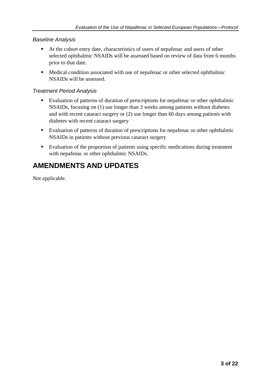#### *Baseline Analysis*

- At the cohort entry date, characteristics of users of nepafenac and users of other selected ophthalmic NSAIDs will be assessed based on review of data from 6 months prior to that date.
- Medical condition associated with use of nepafenac or other selected ophthalmic NSAIDs will be assessed.

#### *Treatment Period Analysis*

- Evaluation of patterns of duration of prescriptions for nepafenac or other ophthalmic NSAIDs, focusing on (1) use longer than 3 weeks among patients without diabetes and with recent cataract surgery or (2) use longer than 60 days among patients with diabetes with recent cataract surgery
- Evaluation of patterns of duration of prescriptions for nepafenac or other ophthalmic NSAIDs in patients without previous cataract surgery
- Evaluation of the proportion of patients using specific medications during treatment with nepafenac or other ophthalmic NSAIDs.

# **AMENDMENTS AND UPDATES**

Not applicable.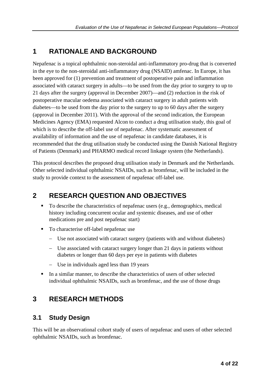# **1 RATIONALE AND BACKGROUND**

Nepafenac is a topical ophthalmic non-steroidal anti-inflammatory pro-drug that is converted in the eye to the non-steroidal anti-inflammatory drug (NSAID) amfenac. In Europe, it has been approved for (1) prevention and treatment of postoperative pain and inflammation associated with cataract surgery in adults—to be used from the day prior to surgery to up to 21 days after the surgery (approval in December 2007)—and (2) reduction in the risk of postoperative macular oedema associated with cataract surgery in adult patients with diabetes—to be used from the day prior to the surgery to up to 60 days after the surgery (approval in December 2011). With the approval of the second indication, the European Medicines Agency (EMA) requested Alcon to conduct a drug utilisation study, this goal of which is to describe the off-label use of nepafenac. After systematic assessment of availability of information and the use of nepafenac in candidate databases, it is recommended that the drug utilisation study be conducted using the Danish National Registry of Patients (Denmark) and PHARMO medical record linkage system (the Netherlands).

This protocol describes the proposed drug utilisation study in Denmark and the Netherlands. Other selected individual ophthalmic NSAIDs, such as bromfenac, will be included in the study to provide context to the assessment of nepafenac off-label use.

# **2 RESEARCH QUESTION AND OBJECTIVES**

- To describe the characteristics of nepafenac users (e.g., demographics, medical history including concurrent ocular and systemic diseases, and use of other medications pre and post nepafenac start)
- To characterise off-label nepafenac use
	- − Use not associated with cataract surgery (patients with and without diabetes)
	- − Use associated with cataract surgery longer than 21 days in patients without diabetes or longer than 60 days per eye in patients with diabetes
	- − Use in individuals aged less than 19 years
- In a similar manner, to describe the characteristics of users of other selected individual ophthalmic NSAIDs, such as bromfenac, and the use of those drugs

# **3 RESEARCH METHODS**

# **3.1 Study Design**

This will be an observational cohort study of users of nepafenac and users of other selected ophthalmic NSAIDs, such as bromfenac.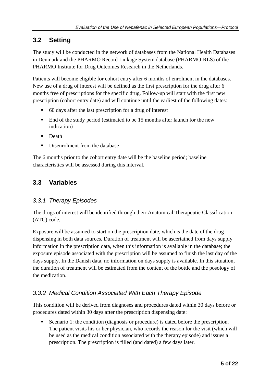# **3.2 Setting**

The study will be conducted in the network of databases from the National Health Databases in Denmark and the PHARMO Record Linkage System database (PHARMO-RLS) of the PHARMO Institute for Drug Outcomes Research in the Netherlands.

Patients will become eligible for cohort entry after 6 months of enrolment in the databases. New use of a drug of interest will be defined as the first prescription for the drug after 6 months free of prescriptions for the specific drug. Follow-up will start with the first new prescription (cohort entry date) and will continue until the earliest of the following dates:

- 60 days after the last prescription for a drug of interest
- End of the study period (estimated to be 15 months after launch for the new indication)
- **Death**
- Disenrolment from the database

The 6 months prior to the cohort entry date will be the baseline period; baseline characteristics will be assessed during this interval.

# **3.3 Variables**

#### *3.3.1 Therapy Episodes*

The drugs of interest will be identified through their Anatomical Therapeutic Classification (ATC) code.

Exposure will be assumed to start on the prescription date, which is the date of the drug dispensing in both data sources. Duration of treatment will be ascertained from days supply information in the prescription data, when this information is available in the database; the exposure episode associated with the prescription will be assumed to finish the last day of the days supply. In the Danish data, no information on days supply is available. In this situation, the duration of treatment will be estimated from the content of the bottle and the posology of the medication.

#### *3.3.2 Medical Condition Associated With Each Therapy Episode*

This condition will be derived from diagnoses and procedures dated within 30 days before or procedures dated within 30 days after the prescription dispensing date:

Scenario 1: the condition (diagnosis or procedure) is dated before the prescription. The patient visits his or her physician, who records the reason for the visit (which will be used as the medical condition associated with the therapy episode) and issues a prescription. The prescription is filled (and dated) a few days later.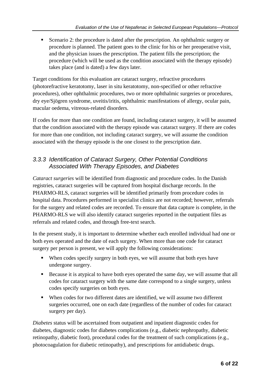Scenario 2: the procedure is dated after the prescription. An ophthalmic surgery or procedure is planned. The patient goes to the clinic for his or her preoperative visit, and the physician issues the prescription. The patient fills the prescription; the procedure (which will be used as the condition associated with the therapy episode) takes place (and is dated) a few days later.

Target conditions for this evaluation are cataract surgery, refractive procedures (photorefractive keratotomy, laser in situ keratotomy, non-specified or other refractive procedures), other ophthalmic procedures, two or more ophthalmic surgeries or procedures, dry eye/Sjögren syndrome, uveitis/iritis, ophthalmic manifestations of allergy, ocular pain, macular oedema, vitreous-related disorders.

If codes for more than one condition are found, including cataract surgery, it will be assumed that the condition associated with the therapy episode was cataract surgery. If there are codes for more than one condition, not including cataract surgery, we will assume the condition associated with the therapy episode is the one closest to the prescription date.

### *3.3.3 Identification of Cataract Surgery, Other Potential Conditions Associated With Therapy Episodes, and Diabetes*

*Cataract surgeries* will be identified from diagnostic and procedure codes. In the Danish registries, cataract surgeries will be captured from hospital discharge records. In the PHARMO-RLS, cataract surgeries will be identified primarily from procedure codes in hospital data. Procedures performed in specialist clinics are not recorded; however, referrals for the surgery and related codes are recorded. To ensure that data capture is complete, in the PHARMO-RLS we will also identify cataract surgeries reported in the outpatient files as referrals and related codes, and through free-text search.

In the present study, it is important to determine whether each enrolled individual had one or both eyes operated and the date of each surgery. When more than one code for cataract surgery per person is present, we will apply the following considerations:

- When codes specify surgery in both eyes, we will assume that both eyes have undergone surgery.
- Because it is atypical to have both eyes operated the same day, we will assume that all codes for cataract surgery with the same date correspond to a single surgery, unless codes specify surgeries on both eyes.
- When codes for two different dates are identified, we will assume two different surgeries occurred, one on each date (regardless of the number of codes for cataract surgery per day).

*Diabetes* status will be ascertained from outpatient and inpatient diagnostic codes for diabetes, diagnostic codes for diabetes complications (e.g., diabetic nephropathy, diabetic retinopathy, diabetic foot), procedural codes for the treatment of such complications (e.g., photocoagulation for diabetic retinopathy), and prescriptions for antidiabetic drugs.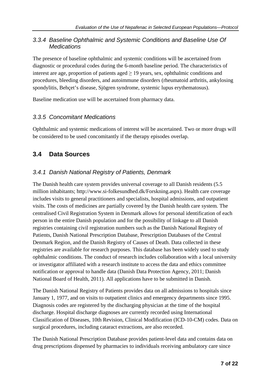#### *3.3.4 Baseline Ophthalmic and Systemic Conditions and Baseline Use Of Medications*

The presence of baseline ophthalmic and systemic conditions will be ascertained from diagnostic or procedural codes during the 6-month baseline period. The characteristics of interest are age, proportion of patients aged  $\geq$  19 years, sex, ophthalmic conditions and procedures, bleeding disorders, and autoimmune disorders (rheumatoid arthritis, ankylosing spondylitis, Behçet's disease, Sjögren syndrome, systemic lupus erythematosus).

Baseline medication use will be ascertained from pharmacy data.

#### *3.3.5 Concomitant Medications*

Ophthalmic and systemic medications of interest will be ascertained. Two or more drugs will be considered to be used concomitantly if the therapy episodes overlap.

# **3.4 Data Sources**

#### *3.4.1 Danish National Registry of Patients, Denmark*

The Danish health care system provides universal coverage to all Danish residents (5.5 million inhabitants; [http://www.si-folkesundhed.dk/Forskning.aspx\)](http://www.si-folkesundhed.dk/Forskning.aspx). Health care coverage includes visits to general practitioners and specialists, hospital admissions, and outpatient visits. The costs of medicines are partially covered by the Danish health care system. The centralised Civil Registration System in Denmark allows for personal identification of each person in the entire Danish population and for the possibility of linkage to all Danish registries containing civil registration numbers such as the Danish National Registry of Patients, Danish National Prescription Database, Prescription Databases of the Central Denmark Region, and the Danish Registry of Causes of Death. Data collected in these registries are available for research purposes. This database has been widely used to study ophthalmic conditions. The conduct of research includes collaboration with a local university or investigator affiliated with a research institute to access the data and ethics committee notification or approval to handle data (Danish Data Protection Agency, 2011; Danish National Board of Health, 2011). All applications have to be submitted in Danish.

The Danish National Registry of Patients provides data on all admissions to hospitals since January 1, 1977, and on visits to outpatient clinics and emergency departments since 1995. Diagnosis codes are registered by the discharging physician at the time of the hospital discharge. Hospital discharge diagnoses are currently recorded using International Classification of Diseases, 10th Revision, Clinical Modification (ICD-10-CM) codes. Data on surgical procedures, including cataract extractions, are also recorded.

The Danish National Prescription Database provides patient-level data and contains data on drug prescriptions dispensed by pharmacies to individuals receiving ambulatory care since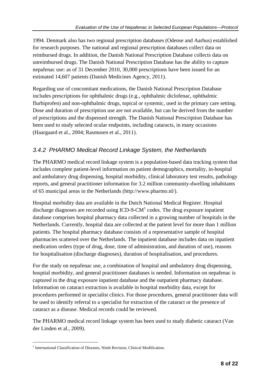1994. Denmark also has two regional prescription databases (Odense and Aarhus) established for research purposes. The national and regional prescription databases collect data on reimbursed drugs. In addition, the Danish National Prescription Database collects data on unreimbursed drugs. The Danish National Prescription Database has the ability to capture nepafenac use: as of 31 December 2010, 30,000 prescriptions have been issued for an estimated 14,607 patients (Danish Medicines Agency, 2011).

Regarding use of concomitant medications, the Danish National Prescription Database includes prescriptions for ophthalmic drugs (e.g., ophthalmic diclofenac, ophthalmic flurbiprofen) and non-ophthalmic drugs, topical or systemic, used in the primary care setting. Dose and duration of prescription use are not available, but can be derived from the number of prescriptions and the dispensed strength. The Danish National Prescription Database has been used to study selected ocular endpoints, including cataracts, in many occasions (Haargaard et al., 2004; Rasmusen et al., 2011).

### *3.4.2 PHARMO Medical Record Linkage System, the Netherlands*

The PHARMO medical record linkage system is a population-based data tracking system that includes complete patient-level information on patient demographics, mortality, in-hospital and ambulatory drug dispensing, hospital morbidity, clinical laboratory test results, pathology reports, and general practitioner information for 3.2 million community-dwelling inhabitants of 65 municipal areas in the Netherlands [\(http://www.pharmo.nl/\)](http://www.pharmo.nl/).

Hospital morbidity data are available in the Dutch National Medical Register. Hospital discharge diagnoses are recorded using  $\text{ICD-9-CM}^1$  $\text{ICD-9-CM}^1$  codes. The drug exposure inpatient database comprises hospital pharmacy data collected in a growing number of hospitals in the Netherlands. Currently, hospital data are collected at the patient level for more than 1 million patients. The hospital pharmacy database consists of a representative sample of hospital pharmacies scattered over the Netherlands. The inpatient database includes data on inpatient medication orders (type of drug, dose, time of administration, and duration of use), reasons for hospitalisation (discharge diagnoses), duration of hospitalisation, and procedures.

For the study on nepafenac use, a combination of hospital and ambulatory drug dispensing, hospital morbidity, and general practitioner databases is needed. Information on nepafenac is captured in the drug exposure inpatient database and the outpatient pharmacy database. Information on cataract extraction is available in hospital morbidity data, except for procedures performed in specialist clinics. For those procedures, general practitioner data will be used to identify referral to a specialist for extraction of the cataract or the presence of cataract as a disease. Medical records could be reviewed.

The PHARMO medical record linkage system has been used to study diabetic cataract (Van der Linden et al., 2009).

<span id="page-8-0"></span><sup>&</sup>lt;sup>1</sup> International Classification of Diseases, Ninth Revision, Clinical Modification.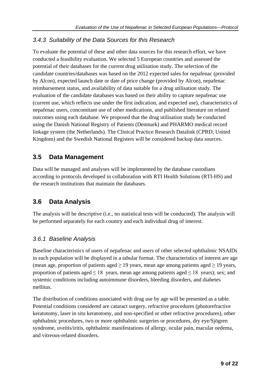#### *3.4.3 Suitability of the Data Sources for this Research*

To evaluate the potential of these and other data sources for this research effort, we have conducted a feasibility evaluation. We selected 5 European countries and assessed the potential of their databases for the current drug utilisation study. The selection of the candidate countries/databases was based on the 2012 expected sales for nepafenac (provided by Alcon), expected launch date or date of price change (provided by Alcon), nepafenac reimbursement status, and availability of data suitable for a drug utilisation study. The evaluation of the candidate databases was based on their ability to capture nepafenac use (current use, which reflects use under the first indication, and expected use), characteristics of nepafenac users, concomitant use of other medications, and published literature on related outcomes using each database. We proposed that the drug utilisation study be conducted using the Danish National Registry of Patients (Denmark) and PHARMO medical record linkage system (the Netherlands). The Clinical Practice Research Datalink (CPRD; United Kingdom) and the Swedish National Registers will be considered backup data sources.

# **3.5 Data Management**

Data will be managed and analyses will be implemented by the database custodians according to protocols developed in collaboration with RTI Health Solutions (RTI-HS) and the research institutions that maintain the databases.

# **3.6 Data Analysis**

The analysis will be descriptive (i.e., no statistical tests will be conducted). The analysis will be performed separately for each country and each individual drug of interest.

#### *3.6.1 Baseline Analysis*

Baseline characteristics of users of nepafenac and users of other selected ophthalmic NSAIDs in each population will be displayed in a tabular format. The characteristics of interest are age (mean age, proportion of patients aged  $\geq$  19 years, mean age among patients aged  $\geq$  19 years, proportion of patients aged  $\leq 18$  years, mean age among patients aged  $\leq 18$  years); sex; and systemic conditions including autoimmune disorders, bleeding disorders, and diabetes mellitus.

The distribution of conditions associated with drug use by age will be presented as a table. Potential conditions considered are cataract surgery, refractive procedures (photorefractive keratotomy, laser in situ keratotomy, and non-specified or other refractive procedures), other ophthalmic procedures, two or more ophthalmic surgeries or procedures, dry eye/Sjögren syndrome, uveitis/iritis, ophthalmic manifestations of allergy, ocular pain, macular oedema, and vitreous-related disorders.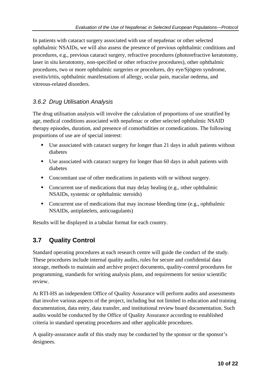In patients with cataract surgery associated with use of nepafenac or other selected ophthalmic NSAIDs, we will also assess the presence of previous ophthalmic conditions and procedures, e.g., previous cataract surgery, refractive procedures (photorefractive keratotomy, laser in situ keratotomy, non-specified or other refractive procedures), other ophthalmic procedures, two or more ophthalmic surgeries or procedures, dry eye/Sjögren syndrome, uveitis/iritis, ophthalmic manifestations of allergy, ocular pain, macular oedema, and vitreous-related disorders.

### *3.6.2 Drug Utilisation Analysis*

The drug utilisation analysis will involve the calculation of proportions of use stratified by age, medical conditions associated with nepafenac or other selected ophthalmic NSAID therapy episodes, duration, and presence of comorbidities or comedications. The following proportions of use are of special interest:

- Use associated with cataract surgery for longer than 21 days in adult patients without diabetes
- Use associated with cataract surgery for longer than 60 days in adult patients with diabetes
- Concomitant use of other medications in patients with or without surgery.
- Concurrent use of medications that may delay healing (e.g., other ophthalmic NSAIDs, systemic or ophthalmic steroids)
- Concurrent use of medications that may increase bleeding time (e.g., ophthalmic NSAIDs, antiplatelets, anticoagulants)

Results will be displayed in a tabular format for each country.

# **3.7 Quality Control**

Standard operating procedures at each research centre will guide the conduct of the study. These procedures include internal quality audits, rules for secure and confidential data storage, methods to maintain and archive project documents, quality-control procedures for programming, standards for writing analysis plans, and requirements for senior scientific review.

At RTI-HS an independent Office of Quality Assurance will perform audits and assessments that involve various aspects of the project, including but not limited to education and training documentation, data entry, data transfer, and institutional review board documentation. Such audits would be conducted by the Office of Quality Assurance according to established criteria in standard operating procedures and other applicable procedures.

A quality-assurance audit of this study may be conducted by the sponsor or the sponsor's designees.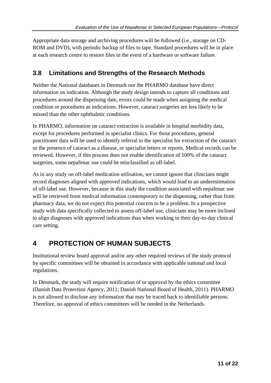Appropriate data storage and archiving procedures will be followed (i.e., storage on CD-ROM and DVD), with periodic backup of files to tape. Standard procedures will be in place at each research centre to restore files in the event of a hardware or software failure.

# **3.8 Limitations and Strengths of the Research Methods**

Neither the National databases in Denmark nor the PHARMO database have direct information on indication. Although the study design intends to capture all conditions and procedures around the dispensing date, errors could be made when assigning the medical condition or procedures as indications. However, cataract surgeries are less likely to be missed than the other ophthalmic conditions.

In PHARMO, information on cataract extraction is available in hospital morbidity data, except for procedures performed in specialist clinics. For those procedures, general practitioner data will be used to identify referral to the specialist for extraction of the cataract or the presence of cataract as a disease, or specialist letters or reports. Medical records can be reviewed. However, if this process does not enable identification of 100% of the cataract surgeries, some nepafenac use could be misclassified as off-label.

As in any study on off-label medication utilisation, we cannot ignore that clinicians might record diagnoses aligned with approved indications, which would lead to an underestimation of off-label use. However, because in this study the condition associated with nepafenac use will be retrieved from medical information contemporary to the dispensing, rather than from pharmacy data, we do not expect this potential concern to be a problem. In a prospective study with data specifically collected to assess off-label use, clinicians may be more inclined to align diagnoses with approved indications than when working in their day-to-day clinical care setting.

# **4 PROTECTION OF HUMAN SUBJECTS**

Institutional review board approval and/or any other required reviews of the study protocol by specific committees will be obtained in accordance with applicable national and local regulations.

In Denmark, the study will require notification of or approval by the ethics committee (Danish Data Protection Agency, 2011; Danish National Board of Health, 2011). PHARMO is not allowed to disclose any information that may be traced back to identifiable persons. Therefore, no approval of ethics committees will be needed in the Netherlands.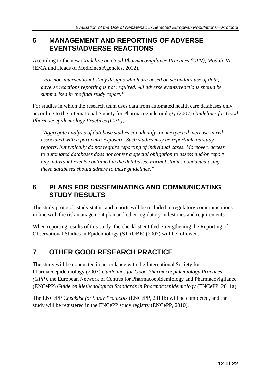# **5 MANAGEMENT AND REPORTING OF ADVERSE EVENTS/ADVERSE REACTIONS**

According to the new *Guideline on Good Pharmacovigilance Practices (GPV), Module VI* (EMA and Heads of Medicines Agencies, 2012),

*"For non-interventional study designs which are based on secondary use of data, adverse reactions reporting is not required. All adverse events/reactions should be summarised in the final study report."*

For studies in which the research team uses data from automated health care databases only, according to the International Society for Pharmacoepidemiology (2007) *Guidelines for Good Pharmacoepidemiology Practices (GPP),*

*"Aggregate analysis of database studies can identify an unexpected increase in risk associated with a particular exposure. Such studies may be reportable as study reports, but typically do not require reporting of individual cases. Moreover, access to automated databases does not confer a special obligation to assess and/or report any individual events contained in the databases. Formal studies conducted using these databases should adhere to these guidelines."*

# **6 PLANS FOR DISSEMINATING AND COMMUNICATING STUDY RESULTS**

The study protocol, study status, and reports will be included in regulatory communications in line with the risk management plan and other regulatory milestones and requirements.

When reporting results of this study, the checklist entitled Strengthening the Reporting of Observational Studies in Epidemiology (STROBE) (2007) will be followed.

# **7 OTHER GOOD RESEARCH PRACTICE**

The study will be conducted in accordance with the International Society for Pharmacoepidemiology (2007) *Guidelines for Good Pharmacoepidemiology Practices (GPP),* the European Network of Centres for Pharmacoepidemiology and Pharmacovigilance (ENCePP) *Guide on Methodological Standards in Pharmacoepidemiology* (ENCePP, 2011a).

The ENCePP *Checklist for Study Protocols* (ENCePP, 2011b) will be completed, and the study will be registered in the ENCePP study registry (ENCePP, 2010).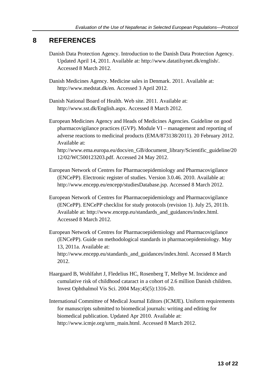# **8 REFERENCES**

Danish Data Protection Agency. Introduction to the Danish Data Protection Agency. Updated April 14, 2011. Available at: [http://www.datatilsynet.dk/english/.](http://www.datatilsynet.dk/english/) Accessed 8 March 2012.

Danish Medicines Agency. Medicine sales in Denmark. 2011. Available at: [http://www.medstat.dk/en.](http://www.medstat.dk/en) Accessed 3 April 2012.

Danish National Board of Health. Web site. 2011. Available at: [http://www.sst.dk/English.aspx.](http://www.sst.dk/English.aspx) Accessed 8 March 2012.

European Medicines Agency and Heads of Medicines Agencies. Guideline on good pharmacovigilance practices (GVP). Module VI – management and reporting of adverse reactions to medicinal products (EMA/873138/2011). 20 February 2012. Available at:

[http://www.ema.europa.eu/docs/en\\_GB/document\\_library/Scientific\\_guideline/20](http://www.ema.europa.eu/docs/en_GB/document_library/Scientific_guideline/2012/02/WC500123203.pdf) [12/02/WC500123203.pdf.](http://www.ema.europa.eu/docs/en_GB/document_library/Scientific_guideline/2012/02/WC500123203.pdf) Accessed 24 May 2012.

- European Network of Centres for Pharmacoepidemiology and Pharmacovigilance (ENCePP). Electronic register of studies. Version 3.0.46. 2010. Available at: [http://www.encepp.eu/encepp/studiesDatabase.jsp.](http://www.encepp.eu/encepp/studiesDatabase.jsp) Accessed 8 March 2012.
- European Network of Centres for Pharmacoepidemiology and Pharmacovigilance (ENCePP). ENCePP checklist for study protocols (revision 1). July 25, 2011b. Available at: [http://www.encepp.eu/standards\\_and\\_guidances/index.html.](http://www.encepp.eu/standards_and_guidances/index.html) Accessed 8 March 2012.
- European Network of Centres for Pharmacoepidemiology and Pharmacovigilance (ENCePP). Guide on methodological standards in pharmacoepidemiology. May 13, 2011a. Available at: [http://www.encepp.eu/standards\\_and\\_guidances/index.html.](http://www.encepp.eu/standards_and_guidances/index.html) Accessed 8 March

2012.

- Haargaard B, Wohlfahrt J, Fledelius HC, Rosenberg T, Melbye M. Incidence and cumulative risk of childhood cataract in a cohort of 2.6 million Danish children. Invest Ophthalmol Vis Sci. 2004 May;45(5):1316-20.
- International Committee of Medical Journal Editors (ICMJE). Uniform requirements for manuscripts submitted to biomedical journals: writing and editing for biomedical publication. Updated Apr 2010. Available at: [http://www.icmje.org/urm\\_main.html.](http://www.icmje.org/urm_main.html) Accessed 8 March 2012.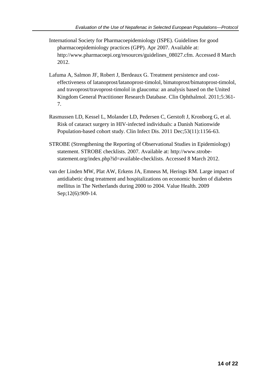- International Society for Pharmacoepidemiology (ISPE). Guidelines for good pharmacoepidemiology practices (GPP). Apr 2007. Available at: [http://www.pharmacoepi.org/resources/guidelines\\_08027.cfm.](http://www.pharmacoepi.org/resources/guidelines_08027.cfm) Accessed 8 March 2012.
- Lafuma A, Salmon JF, Robert J, Berdeaux G. Treatment persistence and costeffectiveness of latanoprost/latanoprost-timolol, bimatoprost/bimatoprost-timolol, and travoprost/travoprost-timolol in glaucoma: an analysis based on the United Kingdom General Practitioner Research Database. Clin Ophthalmol. 2011;5:361- 7.
- Rasmussen LD, Kessel L, Molander LD, Pedersen C, Gerstoft J, Kronborg G, et al. Risk of cataract surgery in HIV-infected individuals: a Danish Nationwide Population-based cohort study. Clin Infect Dis. 2011 Dec;53(11):1156-63.
- STROBE (Strengthening the Reporting of Observational Studies in Epidemiology) statement. STROBE checklists. 2007. Available at: [http://www.strobe](http://www.strobe-statement.org/index.php?id=available-checklists)[statement.org/index.php?id=available-checklists.](http://www.strobe-statement.org/index.php?id=available-checklists) Accessed 8 March 2012.
- van der Linden MW, Plat AW, Erkens JA, Emneus M, Herings RM. Large impact of antidiabetic drug treatment and hospitalizations on economic burden of diabetes mellitus in The Netherlands during 2000 to 2004. Value Health. 2009 Sep;12(6):909-14.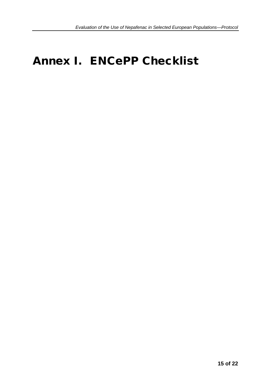# Annex I. ENCePP Checklist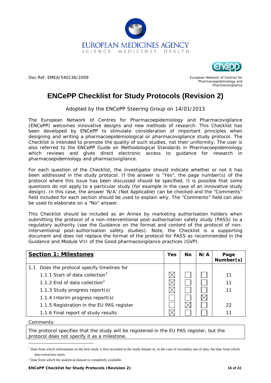



Doc.Ref. EMEA/540136/2009

European Network of Centres for Pharmacoepidemiology and Pharmacovigilance

# **ENCePP Checklist for Study Protocols (Revision 2)**

Adopted by the ENCePP Steering Group on 14/01/2013

The [European Network of Centres for Pharmacoepidemiology and Pharmacovigilance](http://www.encepp.eu/)  [\(ENCePP\)](http://www.encepp.eu/) welcomes innovative designs and new methods of research. This Checklist has been developed by ENCePP to stimulate consideration of important principles when designing and writing a pharmacoepidemiological or pharmacovigilance study protocol. The Checklist is intended to promote the quality of such studies, not their uniformity. The user is also referred to the [ENCePP Guide on Methodological Standards in Pharmacoepidemiology](http://www.encepp.eu/standards_and_guidances/index.shtml) which reviews and gives direct electronic access to guidance for research in pharmacoepidemiology and pharmacovigilance.

For each question of the Checklist, the investigator should indicate whether or not it has been addressed in the study protocol. If the answer is "Yes", the page number(s) of the protocol where this issue has been discussed should be specified. It is possible that some questions do not apply to a particular study (for example in the case of an innovative study design). In this case, the answer 'N/A' (Not Applicable) can be checked and the "Comments" field included for each section should be used to explain why. The "Comments" field can also be used to elaborate on a "No" answer.

This Checklist should be included as an Annex by marketing authorisation holders when submitting the protocol of a non-interventional post-authorisation safety study (PASS) to a regulatory authority (see the [Guidance on the format and content of the protocol of non](http://www.ema.europa.eu/docs/en_GB/document_library/Other/2012/10/WC500133174.pdf)[interventional post-authorisation safety studies\)](http://www.ema.europa.eu/docs/en_GB/document_library/Other/2012/10/WC500133174.pdf). Note, the Checklist is a supporting document and does not replace the format of the protocol for PASS as recommended in the Guidance and Module VIII of the Good pharmacovigilance practices (GVP).

|     | <b>Section 1: Milestones</b>                | Yes | <b>No</b> | N/A | Page<br>Number(s) |
|-----|---------------------------------------------|-----|-----------|-----|-------------------|
| 1.1 | Does the protocol specify timelines for     |     |           |     |                   |
|     | 1.1.1 Start of data collection <sup>1</sup> |     |           |     | 11                |
|     | 1.1.2 End of data collection <sup>2</sup>   |     |           |     | 11                |
|     | 1.1.3 Study progress report(s)              |     |           |     | 11                |
|     | 1.1.4 Interim progress report(s)            |     |           |     |                   |
|     | 1.1.5 Registration in the EU PAS register   |     |           |     | 22                |
|     | 1.1.6 Final report of study results         |     |           |     |                   |

Comments:

The protocol specifies that the study will be registered in the EU PAS register, but the protocol does not specify it as a milestone.

<span id="page-16-0"></span> $<sup>1</sup>$  Date from which information on the first study is first recorded in the study dataset or, in the case of secondary use of data, the date from which</sup> data extraction starts.

<span id="page-16-1"></span><sup>&</sup>lt;sup>2</sup> Date from which the analytical dataset is completely available.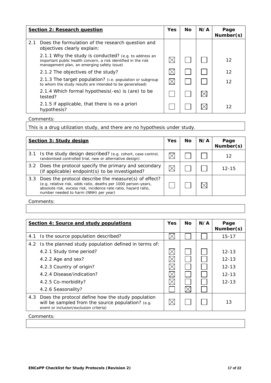|     | <b>Section 2: Research question</b>                                                                                                                                   | <b>Yes</b> | <b>No</b> | N/A | Page<br>Number(s) |
|-----|-----------------------------------------------------------------------------------------------------------------------------------------------------------------------|------------|-----------|-----|-------------------|
| 2.1 | Does the formulation of the research question and<br>objectives clearly explain:                                                                                      |            |           |     |                   |
|     | 2.1.1 Why the study is conducted? (e.g. to address an<br>important public health concern, a risk identified in the risk<br>management plan, an emerging safety issue) |            |           |     | 12                |
|     | 2.1.2 The objectives of the study?                                                                                                                                    |            |           |     | 12                |
|     | 2.1.3 The target population? (i.e. population or subgroup<br>to whom the study results are intended to be generalised)                                                |            |           |     | 12                |
|     | 2.1.4 Which formal hypothesis(-es) is (are) to be<br>tested?                                                                                                          |            |           |     |                   |
|     | 2.1.5 if applicable, that there is no a priori<br>hypothesis?                                                                                                         |            |           |     | 12                |

This is a drug utilization study, and there are no hypothesis under study.

|     | Section 3: Study design                                                                                                                                                                                                                | <b>Yes</b> | Nο | N/A | Page<br>Number(s) |
|-----|----------------------------------------------------------------------------------------------------------------------------------------------------------------------------------------------------------------------------------------|------------|----|-----|-------------------|
| 3.1 | Is the study design described? (e.g. cohort, case-control,<br>randomised controlled trial, new or alternative design)                                                                                                                  |            |    |     |                   |
|     | 3.2 Does the protocol specify the primary and secondary<br>(if applicable) endpoint(s) to be investigated?                                                                                                                             |            |    |     | $12 - 15$         |
|     | 3.3 Does the protocol describe the measure(s) of effect?<br>(e.g. relative risk, odds ratio, deaths per 1000 person-years,<br>absolute risk, excess risk, incidence rate ratio, hazard ratio,<br>number needed to harm (NNH) per year) |            |    |     |                   |

Comments: Comments: Comments: Comments: Comments: Comments: Comments: Comments: Comments: Comments: Comments: Comments: Comments: Comments: Comments: Comments: Comments: Comments: Comments: Comments: Comments: Comments: Co

|     | Section 4: Source and study populations                                                                                                          | <b>Yes</b> | No. | N/A | Page<br>Number(s) |
|-----|--------------------------------------------------------------------------------------------------------------------------------------------------|------------|-----|-----|-------------------|
| 4.1 | Is the source population described?                                                                                                              |            |     |     | $15 - 17$         |
| 4.2 | Is the planned study population defined in terms of:                                                                                             |            |     |     |                   |
|     | 4.2.1 Study time period?                                                                                                                         | IX         |     |     | $12 - 13$         |
|     | 4.2.2 Age and sex?                                                                                                                               |            |     |     | $12 - 13$         |
|     | 4.2.3 Country of origin?                                                                                                                         |            |     |     | $12 - 13$         |
|     | 4.2.4 Disease/indication?                                                                                                                        |            |     |     | $12 - 13$         |
|     | 4.2.5 Co-morbidity?                                                                                                                              |            |     |     | $12 - 13$         |
|     | 4.2.6 Seasonality?                                                                                                                               |            |     |     |                   |
| 4.3 | Does the protocol define how the study population<br>will be sampled from the source population? (e.g.<br>event or inclusion/exclusion criteria) | $\bowtie$  |     |     | 13                |
|     | Comments:                                                                                                                                        |            |     |     |                   |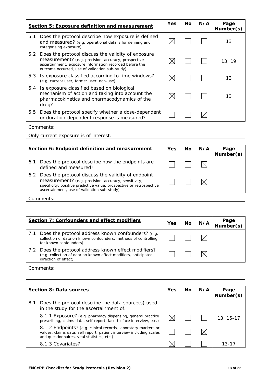|     | <b>Section 5: Exposure definition and measurement</b>                                                                                                                                                                  | <b>Yes</b> | <b>No</b> | N/A | Page<br>Number(s) |
|-----|------------------------------------------------------------------------------------------------------------------------------------------------------------------------------------------------------------------------|------------|-----------|-----|-------------------|
| 5.1 | Does the protocol describe how exposure is defined<br>and measured? (e.g. operational details for defining and<br>categorising exposure)                                                                               |            |           |     | 13                |
| 5.2 | Does the protocol discuss the validity of exposure<br>measurement? (e.g. precision, accuracy, prospective<br>ascertainment, exposure information recorded before the<br>outcome occurred, use of validation sub-study) |            |           |     | 13, 19            |
| 5.3 | Is exposure classified according to time windows?<br>(e.g. current user, former user, non-use)                                                                                                                         |            |           |     | 13                |
| 5.4 | Is exposure classified based on biological<br>mechanism of action and taking into account the<br>pharmacokinetics and pharmacodynamics of the<br>drug?                                                                 |            |           |     | 13                |
| 5.5 | Does the protocol specify whether a dose-dependent<br>or duration-dependent response is measured?                                                                                                                      |            |           |     |                   |

Only current exposure is of interest.

|     | Section 6: Endpoint definition and measurement                                                                                                                                                                                        | <b>Yes</b> | Nο | N/A | Page<br>Number(s) |
|-----|---------------------------------------------------------------------------------------------------------------------------------------------------------------------------------------------------------------------------------------|------------|----|-----|-------------------|
| 6.1 | Does the protocol describe how the endpoints are<br>defined and measured?                                                                                                                                                             |            |    |     |                   |
|     | 6.2 Does the protocol discuss the validity of endpoint<br>measurement? (e.g. precision, accuracy, sensitivity,<br>specificity, positive predictive value, prospective or retrospective<br>ascertainment, use of validation sub-study) |            |    |     |                   |

Comments:

|     | Section 7: Confounders and effect modifiers                                                                                                      | <b>Yes</b> | Nο | N/A | Page<br>Number(s) |
|-----|--------------------------------------------------------------------------------------------------------------------------------------------------|------------|----|-----|-------------------|
| 7.1 | Does the protocol address known confounders? (e.g.<br>collection of data on known confounders, methods of controlling<br>for known confounders)  |            |    |     |                   |
|     | 7.2 Does the protocol address known effect modifiers?<br>(e.g. collection of data on known effect modifiers, anticipated<br>direction of effect) |            |    |     |                   |

#### Comments:

|     | <b>Section 8: Data sources</b>                                                                                                                                                        | <b>Yes</b> | Nο | N/A | Page<br>Number(s) |
|-----|---------------------------------------------------------------------------------------------------------------------------------------------------------------------------------------|------------|----|-----|-------------------|
| 8.1 | Does the protocol describe the data source(s) used<br>in the study for the ascertainment of:                                                                                          |            |    |     |                   |
|     | 8.1.1 Exposure? (e.g. pharmacy dispensing, general practice<br>prescribing, claims data, self-report, face-to-face interview, etc.)                                                   |            |    |     | 13, 15-17         |
|     | 8.1.2 Endpoints? (e.g. clinical records, laboratory markers or<br>values, claims data, self report, patient interview including scales<br>and questionnaires, vital statistics, etc.) |            |    |     |                   |
|     | 8.1.3 Covariates?                                                                                                                                                                     |            |    |     | 13-17             |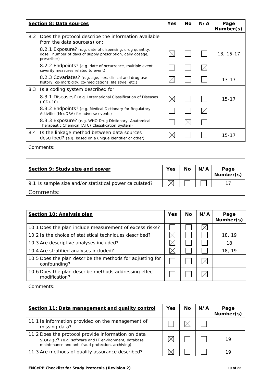|     | <b>Section 8: Data sources</b>                                                                                                        | Yes         | <b>No</b> | N/A | Page<br>Number(s) |
|-----|---------------------------------------------------------------------------------------------------------------------------------------|-------------|-----------|-----|-------------------|
| 8.2 | Does the protocol describe the information available<br>from the data source(s) on:                                                   |             |           |     |                   |
|     | 8.2.1 Exposure? (e.g. date of dispensing, drug quantity,<br>dose, number of days of supply prescription, daily dosage,<br>prescriber) | $\boxtimes$ |           |     | 13, 15-17         |
|     | 8.2.2 Endpoints? (e.g. date of occurrence, multiple event,<br>severity measures related to event)                                     |             |           |     |                   |
|     | 8.2.3 Covariates? (e.g. age, sex, clinical and drug use<br>history, co-morbidity, co-medications, life style, etc.)                   | $\boxtimes$ |           |     | $13 - 17$         |
|     | 8.3 Is a coding system described for:                                                                                                 |             |           |     |                   |
|     | 8.3.1 Diseases? (e.g. International Classification of Diseases<br>$(ICD) - 10)$                                                       | $\boxtimes$ |           |     | $15 - 17$         |
|     | 8.3.2 Endpoints? (e.g. Medical Dictionary for Regulatory<br>Activities (MedDRA) for adverse events)                                   |             |           |     |                   |
|     | 8.3.3 Exposure? (e.g. WHO Drug Dictionary, Anatomical<br>Therapeutic Chemical (ATC) Classification System)                            |             |           |     |                   |
| 8.4 | Is the linkage method between data sources<br>described? (e.g. based on a unique identifier or other)                                 | $\times$    |           |     | $15 - 17$         |

| Section 9: Study size and power                         | <b>Yes</b> | No | N/A | Page<br>Number(s) |
|---------------------------------------------------------|------------|----|-----|-------------------|
| 9.1 Is sample size and/or statistical power calculated? |            |    |     |                   |
| Comments:                                               |            |    |     |                   |

| Section 10: Analysis plan                                                 | Yes | No. | N/A | Page<br>Number(s) |
|---------------------------------------------------------------------------|-----|-----|-----|-------------------|
| 10.1 Does the plan include measurement of excess risks?                   |     |     |     |                   |
| 10.2 Is the choice of statistical techniques described?                   |     |     |     | 18, 19            |
| 10.3 Are descriptive analyses included?                                   |     |     |     | 18                |
| 10.4 Are stratified analyses included?                                    |     |     |     | 18, 19            |
| 10.5 Does the plan describe the methods for adjusting for<br>confounding? |     |     |     |                   |
| 10.6 Does the plan describe methods addressing effect<br>modification?    |     |     |     |                   |
| Comments:                                                                 |     |     |     |                   |

| Section 11: Data management and quality control                                                                                                                 | Yes | No | N/A | Page<br>Number(s) |
|-----------------------------------------------------------------------------------------------------------------------------------------------------------------|-----|----|-----|-------------------|
| 11.1 Is information provided on the management of<br>missing data?                                                                                              |     |    |     |                   |
| 11.2 Does the protocol provide information on data<br>storage? (e.g. software and IT environment, database<br>maintenance and anti-fraud protection, archiving) |     |    |     | 19                |
| 11.3 Are methods of quality assurance described?                                                                                                                |     |    |     |                   |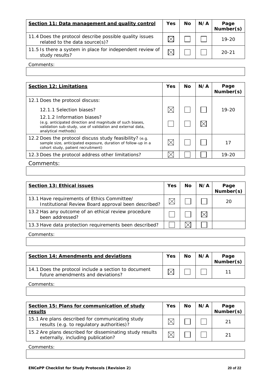| Section 11: Data management and quality control                                           | <b>Yes</b> | <b>No</b> | N/A | Page<br>Number(s) |
|-------------------------------------------------------------------------------------------|------------|-----------|-----|-------------------|
| 11.4 Does the protocol describe possible quality issues<br>related to the data source(s)? |            |           |     | $19-20$           |
| 11.5 Is there a system in place for independent review of<br>study results?               |            |           |     | $20 - 21$         |

| <b>Section 12: Limitations</b>                                                                                                                                               | Yes | <b>No</b> | N/A | Page<br>Number(s) |
|------------------------------------------------------------------------------------------------------------------------------------------------------------------------------|-----|-----------|-----|-------------------|
| 12.1 Does the protocol discuss:                                                                                                                                              |     |           |     |                   |
| 12.1.1 Selection biases?                                                                                                                                                     |     |           |     | $19 - 20$         |
| 12.1.2 Information biases?<br>(e.g. anticipated direction and magnitude of such biases,<br>validation sub-study, use of validation and external data,<br>analytical methods) |     |           |     |                   |
| 12.2 Does the protocol discuss study feasibility? (e.g.<br>sample size, anticipated exposure, duration of follow-up in a<br>cohort study, patient recruitment)               |     |           |     | 17                |
| 12.3 Does the protocol address other limitations?                                                                                                                            |     |           |     | $19 - 20$         |
| Comments:                                                                                                                                                                    |     |           |     |                   |

| <b>Section 13: Ethical issues</b>                                                                  | <b>Yes</b> | No | N/A | Page<br>Number(s) |
|----------------------------------------------------------------------------------------------------|------------|----|-----|-------------------|
| 13.1 Have requirements of Ethics Committee/<br>Institutional Review Board approval been described? |            |    |     | 20                |
| 13.2 Has any outcome of an ethical review procedure<br>been addressed?                             |            |    |     |                   |
| 13.3 Have data protection requirements been described?                                             |            |    |     |                   |
|                                                                                                    |            |    |     |                   |

Comments:

| Section 14: Amendments and deviations                                                     | Yes | <b>No</b> | N/A | Page<br>Number(s) |
|-------------------------------------------------------------------------------------------|-----|-----------|-----|-------------------|
| 14.1 Does the protocol include a section to document<br>future amendments and deviations? |     |           |     |                   |

Comments:

| Section 15: Plans for communication of study<br>results                                        | <b>Yes</b> | <b>No</b> | N/A | Page<br>Number(s) |
|------------------------------------------------------------------------------------------------|------------|-----------|-----|-------------------|
| 15.1 Are plans described for communicating study<br>results (e.g. to regulatory authorities)?  |            |           |     |                   |
| 15.2 Are plans described for disseminating study results<br>externally, including publication? |            |           |     |                   |

Comments: